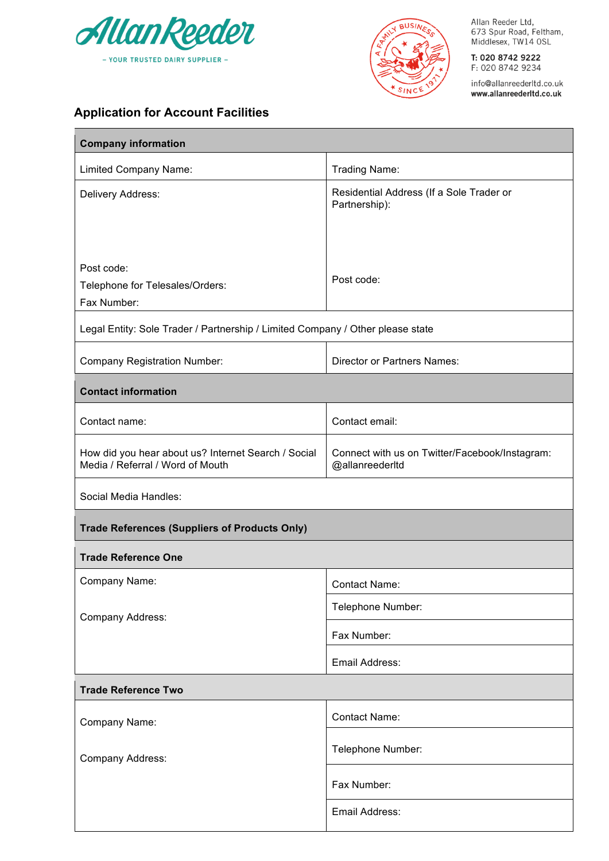



Allan Reeder Ltd,<br>673 Spur Road, Feltham,<br>Middlesex, TW14 OSL

T: 020 8742 9222 F: 020 8742 9234

info@allanreederltd.co.uk www.allanreederltd.co.uk

## **Application for Account Facilities**

| <b>Company information</b>                                                              |                                                                   |  |
|-----------------------------------------------------------------------------------------|-------------------------------------------------------------------|--|
| Limited Company Name:                                                                   | <b>Trading Name:</b>                                              |  |
| Delivery Address:                                                                       | Residential Address (If a Sole Trader or<br>Partnership):         |  |
| Post code:<br>Telephone for Telesales/Orders:<br>Fax Number:                            | Post code:                                                        |  |
| Legal Entity: Sole Trader / Partnership / Limited Company / Other please state          |                                                                   |  |
| <b>Company Registration Number:</b>                                                     | <b>Director or Partners Names:</b>                                |  |
| <b>Contact information</b>                                                              |                                                                   |  |
| Contact name:                                                                           | Contact email:                                                    |  |
| How did you hear about us? Internet Search / Social<br>Media / Referral / Word of Mouth | Connect with us on Twitter/Facebook/Instagram:<br>@allanreederltd |  |
| Social Media Handles:                                                                   |                                                                   |  |
| <b>Trade References (Suppliers of Products Only)</b>                                    |                                                                   |  |
| <b>Trade Reference One</b>                                                              |                                                                   |  |
| Company Name:                                                                           | <b>Contact Name:</b>                                              |  |
| Company Address:                                                                        | Telephone Number:                                                 |  |
|                                                                                         | Fax Number:                                                       |  |
|                                                                                         | Email Address:                                                    |  |
| <b>Trade Reference Two</b>                                                              |                                                                   |  |
| Company Name:                                                                           | <b>Contact Name:</b>                                              |  |
| Company Address:                                                                        | Telephone Number:                                                 |  |
|                                                                                         | Fax Number:                                                       |  |
|                                                                                         | Email Address:                                                    |  |